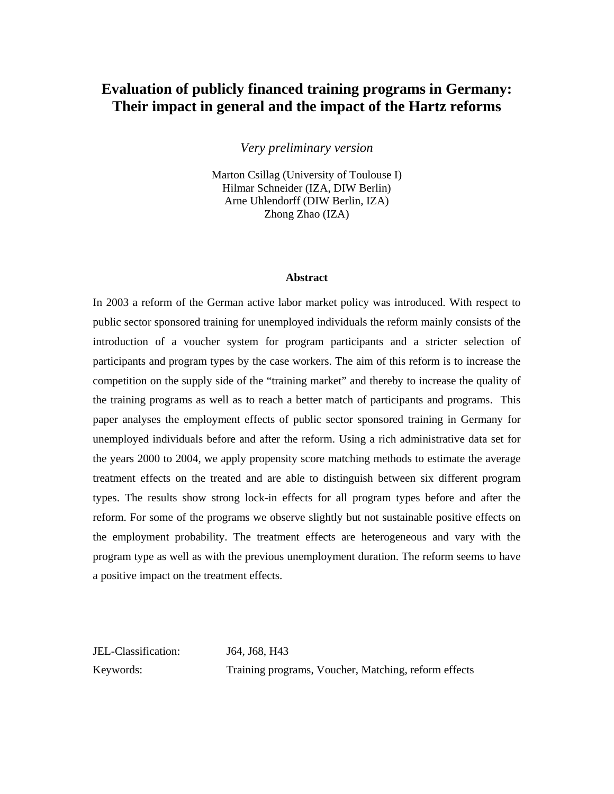# **Evaluation of publicly financed training programs in Germany: Their impact in general and the impact of the Hartz reforms**

*Very preliminary version* 

Marton Csillag (University of Toulouse I) Hilmar Schneider (IZA, DIW Berlin) Arne Uhlendorff (DIW Berlin, IZA) Zhong Zhao (IZA)

#### **Abstract**

In 2003 a reform of the German active labor market policy was introduced. With respect to public sector sponsored training for unemployed individuals the reform mainly consists of the introduction of a voucher system for program participants and a stricter selection of participants and program types by the case workers. The aim of this reform is to increase the competition on the supply side of the "training market" and thereby to increase the quality of the training programs as well as to reach a better match of participants and programs. This paper analyses the employment effects of public sector sponsored training in Germany for unemployed individuals before and after the reform. Using a rich administrative data set for the years 2000 to 2004, we apply propensity score matching methods to estimate the average treatment effects on the treated and are able to distinguish between six different program types. The results show strong lock-in effects for all program types before and after the reform. For some of the programs we observe slightly but not sustainable positive effects on the employment probability. The treatment effects are heterogeneous and vary with the program type as well as with the previous unemployment duration. The reform seems to have a positive impact on the treatment effects.

JEL-Classification: J64, J68, H43

Keywords: Training programs, Voucher, Matching, reform effects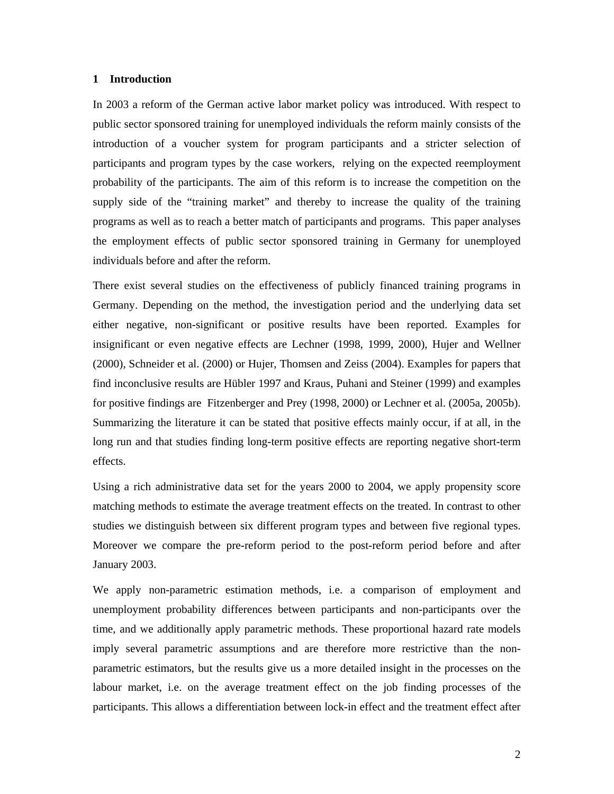#### **1 Introduction**

In 2003 a reform of the German active labor market policy was introduced. With respect to public sector sponsored training for unemployed individuals the reform mainly consists of the introduction of a voucher system for program participants and a stricter selection of participants and program types by the case workers, relying on the expected reemployment probability of the participants. The aim of this reform is to increase the competition on the supply side of the "training market" and thereby to increase the quality of the training programs as well as to reach a better match of participants and programs. This paper analyses the employment effects of public sector sponsored training in Germany for unemployed individuals before and after the reform.

There exist several studies on the effectiveness of publicly financed training programs in Germany. Depending on the method, the investigation period and the underlying data set either negative, non-significant or positive results have been reported. Examples for insignificant or even negative effects are Lechner (1998, 1999, 2000), Hujer and Wellner (2000), Schneider et al. (2000) or Hujer, Thomsen and Zeiss (2004). Examples for papers that find inconclusive results are Hübler 1997 and Kraus, Puhani and Steiner (1999) and examples for positive findings are Fitzenberger and Prey (1998, 2000) or Lechner et al. (2005a, 2005b). Summarizing the literature it can be stated that positive effects mainly occur, if at all, in the long run and that studies finding long-term positive effects are reporting negative short-term effects.

Using a rich administrative data set for the years 2000 to 2004, we apply propensity score matching methods to estimate the average treatment effects on the treated. In contrast to other studies we distinguish between six different program types and between five regional types. Moreover we compare the pre-reform period to the post-reform period before and after January 2003.

We apply non-parametric estimation methods, i.e. a comparison of employment and unemployment probability differences between participants and non-participants over the time, and we additionally apply parametric methods. These proportional hazard rate models imply several parametric assumptions and are therefore more restrictive than the nonparametric estimators, but the results give us a more detailed insight in the processes on the labour market, i.e. on the average treatment effect on the job finding processes of the participants. This allows a differentiation between lock-in effect and the treatment effect after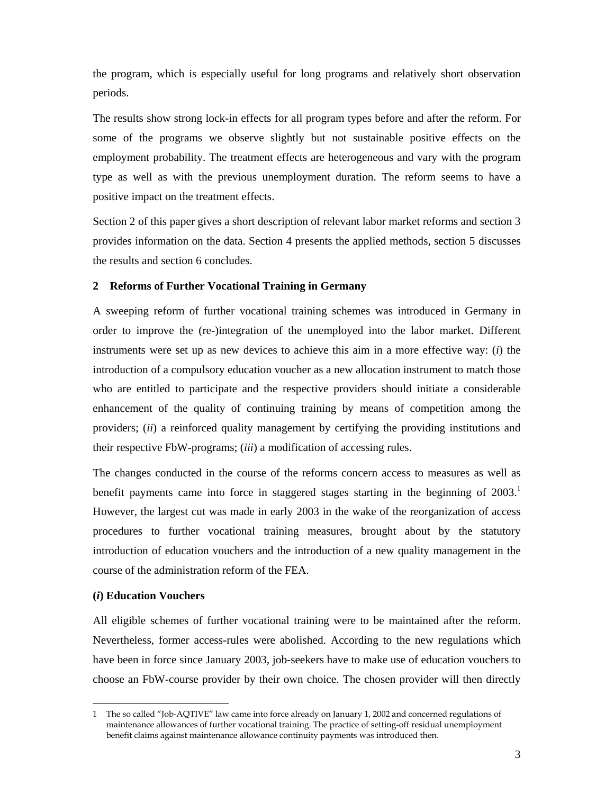the program, which is especially useful for long programs and relatively short observation periods.

The results show strong lock-in effects for all program types before and after the reform. For some of the programs we observe slightly but not sustainable positive effects on the employment probability. The treatment effects are heterogeneous and vary with the program type as well as with the previous unemployment duration. The reform seems to have a positive impact on the treatment effects.

Section 2 of this paper gives a short description of relevant labor market reforms and section 3 provides information on the data. Section 4 presents the applied methods, section 5 discusses the results and section 6 concludes.

# **2 Reforms of Further Vocational Training in Germany**

A sweeping reform of further vocational training schemes was introduced in Germany in order to improve the (re-)integration of the unemployed into the labor market. Different instruments were set up as new devices to achieve this aim in a more effective way: (*i*) the introduction of a compulsory education voucher as a new allocation instrument to match those who are entitled to participate and the respective providers should initiate a considerable enhancement of the quality of continuing training by means of competition among the providers; (*ii*) a reinforced quality management by certifying the providing institutions and their respective FbW-programs; (*iii*) a modification of accessing rules.

The changes conducted in the course of the reforms concern access to measures as well as benefit payments came into force in staggered stages starting in the beginning of  $2003$ .<sup>1</sup> However, the largest cut was made in early 2003 in the wake of the reorganization of access procedures to further vocational training measures, brought about by the statutory introduction of education vouchers and the introduction of a new quality management in the course of the administration reform of the FEA.

# **(***i***) Education Vouchers**

 $\overline{a}$ 

All eligible schemes of further vocational training were to be maintained after the reform. Nevertheless, former access-rules were abolished. According to the new regulations which have been in force since January 2003, job-seekers have to make use of education vouchers to choose an FbW-course provider by their own choice. The chosen provider will then directly

<sup>1</sup> The so called "Job-AQTIVE" law came into force already on January 1, 2002 and concerned regulations of maintenance allowances of further vocational training. The practice of setting-off residual unemployment benefit claims against maintenance allowance continuity payments was introduced then.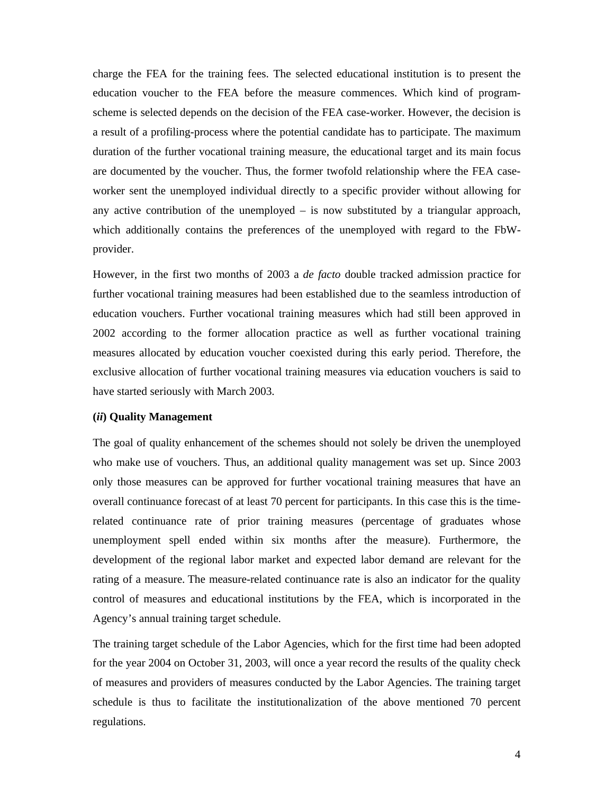charge the FEA for the training fees. The selected educational institution is to present the education voucher to the FEA before the measure commences. Which kind of programscheme is selected depends on the decision of the FEA case-worker. However, the decision is a result of a profiling-process where the potential candidate has to participate. The maximum duration of the further vocational training measure, the educational target and its main focus are documented by the voucher. Thus, the former twofold relationship where the FEA caseworker sent the unemployed individual directly to a specific provider without allowing for any active contribution of the unemployed  $-$  is now substituted by a triangular approach, which additionally contains the preferences of the unemployed with regard to the FbWprovider.

However, in the first two months of 2003 a *de facto* double tracked admission practice for further vocational training measures had been established due to the seamless introduction of education vouchers. Further vocational training measures which had still been approved in 2002 according to the former allocation practice as well as further vocational training measures allocated by education voucher coexisted during this early period. Therefore, the exclusive allocation of further vocational training measures via education vouchers is said to have started seriously with March 2003.

# **(***ii***) Quality Management**

The goal of quality enhancement of the schemes should not solely be driven the unemployed who make use of vouchers. Thus, an additional quality management was set up. Since 2003 only those measures can be approved for further vocational training measures that have an overall continuance forecast of at least 70 percent for participants. In this case this is the timerelated continuance rate of prior training measures (percentage of graduates whose unemployment spell ended within six months after the measure). Furthermore, the development of the regional labor market and expected labor demand are relevant for the rating of a measure. The measure-related continuance rate is also an indicator for the quality control of measures and educational institutions by the FEA, which is incorporated in the Agency's annual training target schedule.

The training target schedule of the Labor Agencies, which for the first time had been adopted for the year 2004 on October 31, 2003, will once a year record the results of the quality check of measures and providers of measures conducted by the Labor Agencies. The training target schedule is thus to facilitate the institutionalization of the above mentioned 70 percent regulations.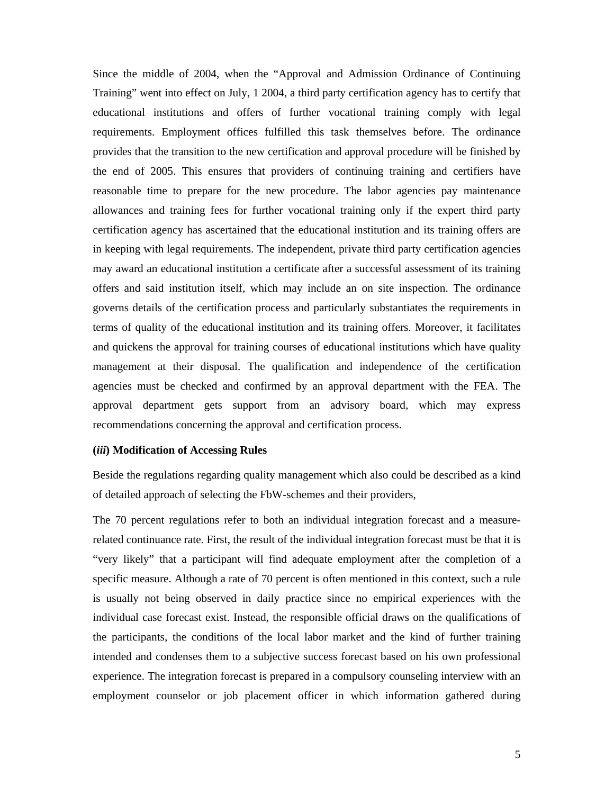Since the middle of 2004, when the "Approval and Admission Ordinance of Continuing Training" went into effect on July, 1 2004, a third party certification agency has to certify that educational institutions and offers of further vocational training comply with legal requirements. Employment offices fulfilled this task themselves before. The ordinance provides that the transition to the new certification and approval procedure will be finished by the end of 2005. This ensures that providers of continuing training and certifiers have reasonable time to prepare for the new procedure. The labor agencies pay maintenance allowances and training fees for further vocational training only if the expert third party certification agency has ascertained that the educational institution and its training offers are in keeping with legal requirements. The independent, private third party certification agencies may award an educational institution a certificate after a successful assessment of its training offers and said institution itself, which may include an on site inspection. The ordinance governs details of the certification process and particularly substantiates the requirements in terms of quality of the educational institution and its training offers. Moreover, it facilitates and quickens the approval for training courses of educational institutions which have quality management at their disposal. The qualification and independence of the certification agencies must be checked and confirmed by an approval department with the FEA. The approval department gets support from an advisory board, which may express recommendations concerning the approval and certification process.

## **(***iii***) Modification of Accessing Rules**

Beside the regulations regarding quality management which also could be described as a kind of detailed approach of selecting the FbW-schemes and their providers,

The 70 percent regulations refer to both an individual integration forecast and a measurerelated continuance rate. First, the result of the individual integration forecast must be that it is "very likely" that a participant will find adequate employment after the completion of a specific measure. Although a rate of 70 percent is often mentioned in this context, such a rule is usually not being observed in daily practice since no empirical experiences with the individual case forecast exist. Instead, the responsible official draws on the qualifications of the participants, the conditions of the local labor market and the kind of further training intended and condenses them to a subjective success forecast based on his own professional experience. The integration forecast is prepared in a compulsory counseling interview with an employment counselor or job placement officer in which information gathered during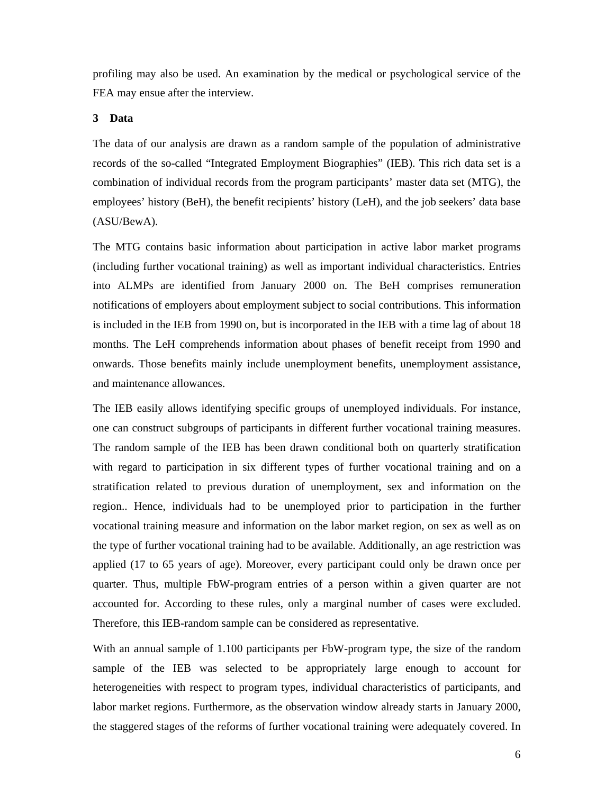profiling may also be used. An examination by the medical or psychological service of the FEA may ensue after the interview.

# **3 Data**

The data of our analysis are drawn as a random sample of the population of administrative records of the so-called "Integrated Employment Biographies" (IEB). This rich data set is a combination of individual records from the program participants' master data set (MTG), the employees' history (BeH), the benefit recipients' history (LeH), and the job seekers' data base (ASU/BewA).

The MTG contains basic information about participation in active labor market programs (including further vocational training) as well as important individual characteristics. Entries into ALMPs are identified from January 2000 on. The BeH comprises remuneration notifications of employers about employment subject to social contributions. This information is included in the IEB from 1990 on, but is incorporated in the IEB with a time lag of about 18 months. The LeH comprehends information about phases of benefit receipt from 1990 and onwards. Those benefits mainly include unemployment benefits, unemployment assistance, and maintenance allowances.

The IEB easily allows identifying specific groups of unemployed individuals. For instance, one can construct subgroups of participants in different further vocational training measures. The random sample of the IEB has been drawn conditional both on quarterly stratification with regard to participation in six different types of further vocational training and on a stratification related to previous duration of unemployment, sex and information on the region.. Hence, individuals had to be unemployed prior to participation in the further vocational training measure and information on the labor market region, on sex as well as on the type of further vocational training had to be available. Additionally, an age restriction was applied (17 to 65 years of age). Moreover, every participant could only be drawn once per quarter. Thus, multiple FbW-program entries of a person within a given quarter are not accounted for. According to these rules, only a marginal number of cases were excluded. Therefore, this IEB-random sample can be considered as representative.

With an annual sample of 1.100 participants per FbW-program type, the size of the random sample of the IEB was selected to be appropriately large enough to account for heterogeneities with respect to program types, individual characteristics of participants, and labor market regions. Furthermore, as the observation window already starts in January 2000, the staggered stages of the reforms of further vocational training were adequately covered. In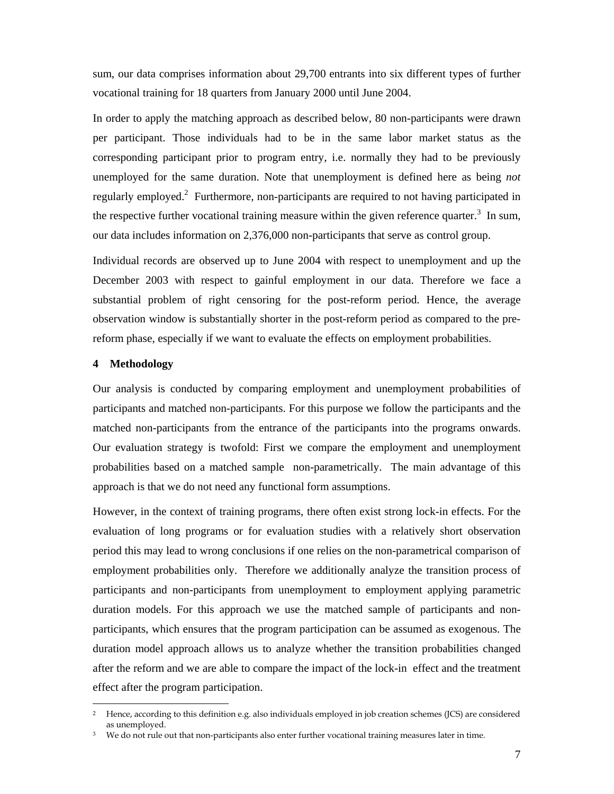sum, our data comprises information about 29,700 entrants into six different types of further vocational training for 18 quarters from January 2000 until June 2004.

In order to apply the matching approach as described below, 80 non-participants were drawn per participant. Those individuals had to be in the same labor market status as the corresponding participant prior to program entry, i.e. normally they had to be previously unemployed for the same duration. Note that unemployment is defined here as being *not* regularly employed.<sup>2</sup> Furthermore, non-participants are required to not having participated in the respective further vocational training measure within the given reference quarter.<sup>3</sup> In sum, our data includes information on 2,376,000 non-participants that serve as control group.

Individual records are observed up to June 2004 with respect to unemployment and up the December 2003 with respect to gainful employment in our data. Therefore we face a substantial problem of right censoring for the post-reform period. Hence, the average observation window is substantially shorter in the post-reform period as compared to the prereform phase, especially if we want to evaluate the effects on employment probabilities.

# **4 Methodology**

 $\overline{a}$ 

Our analysis is conducted by comparing employment and unemployment probabilities of participants and matched non-participants. For this purpose we follow the participants and the matched non-participants from the entrance of the participants into the programs onwards. Our evaluation strategy is twofold: First we compare the employment and unemployment probabilities based on a matched sample non-parametrically. The main advantage of this approach is that we do not need any functional form assumptions.

However, in the context of training programs, there often exist strong lock-in effects. For the evaluation of long programs or for evaluation studies with a relatively short observation period this may lead to wrong conclusions if one relies on the non-parametrical comparison of employment probabilities only. Therefore we additionally analyze the transition process of participants and non-participants from unemployment to employment applying parametric duration models. For this approach we use the matched sample of participants and nonparticipants, which ensures that the program participation can be assumed as exogenous. The duration model approach allows us to analyze whether the transition probabilities changed after the reform and we are able to compare the impact of the lock-in effect and the treatment effect after the program participation.

<sup>&</sup>lt;sup>2</sup> Hence, according to this definition e.g. also individuals employed in job creation schemes (JCS) are considered as unemployed.

We do not rule out that non-participants also enter further vocational training measures later in time.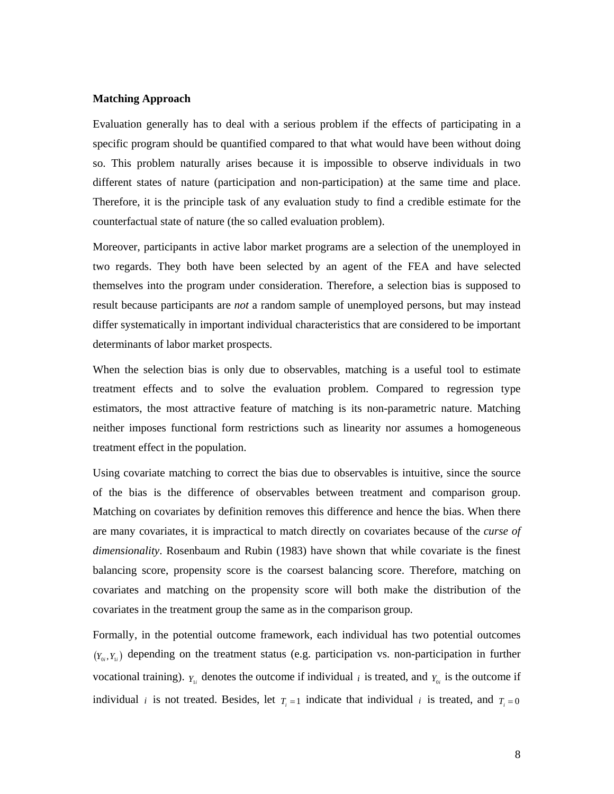# **Matching Approach**

Evaluation generally has to deal with a serious problem if the effects of participating in a specific program should be quantified compared to that what would have been without doing so. This problem naturally arises because it is impossible to observe individuals in two different states of nature (participation and non-participation) at the same time and place. Therefore, it is the principle task of any evaluation study to find a credible estimate for the counterfactual state of nature (the so called evaluation problem).

Moreover, participants in active labor market programs are a selection of the unemployed in two regards. They both have been selected by an agent of the FEA and have selected themselves into the program under consideration. Therefore, a selection bias is supposed to result because participants are *not* a random sample of unemployed persons, but may instead differ systematically in important individual characteristics that are considered to be important determinants of labor market prospects.

When the selection bias is only due to observables, matching is a useful tool to estimate treatment effects and to solve the evaluation problem. Compared to regression type estimators, the most attractive feature of matching is its non-parametric nature. Matching neither imposes functional form restrictions such as linearity nor assumes a homogeneous treatment effect in the population.

Using covariate matching to correct the bias due to observables is intuitive, since the source of the bias is the difference of observables between treatment and comparison group. Matching on covariates by definition removes this difference and hence the bias. When there are many covariates, it is impractical to match directly on covariates because of the *curse of dimensionality*. Rosenbaum and Rubin (1983) have shown that while covariate is the finest balancing score, propensity score is the coarsest balancing score. Therefore, matching on covariates and matching on the propensity score will both make the distribution of the covariates in the treatment group the same as in the comparison group.

Formally, in the potential outcome framework, each individual has two potential outcomes  $(Y_{0i}, Y_{1i})$  depending on the treatment status (e.g. participation vs. non-participation in further vocational training).  $Y_{1i}$  denotes the outcome if individual *i* is treated, and  $Y_{0i}$  is the outcome if individual *i* is not treated. Besides, let  $T_i = 1$  indicate that individual *i* is treated, and  $T_i = 0$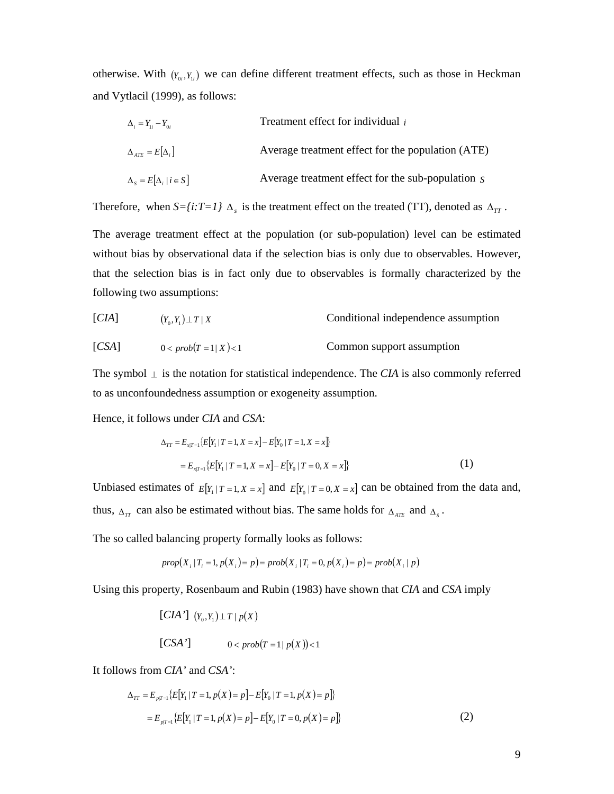otherwise. With  $(Y_0, Y_i)$  we can define different treatment effects, such as those in Heckman and Vytlacil (1999), as follows:

 $\Delta_i = Y_{1i} - Y_{0i}$  Treatment effect for individual *i*  $\Delta_{ATE} = E[\Delta_i]$  Average treatment effect for the population (ATE)  $\Delta_s = E[\Delta_i | i \in S]$  Average treatment effect for the sub-population *S* 

Therefore, when  $S = \{i: T = 1\}$   $\Delta_s$  is the treatment effect on the treated (TT), denoted as  $\Delta_{TT}$ .

The average treatment effect at the population (or sub-population) level can be estimated without bias by observational data if the selection bias is only due to observables. However, that the selection bias is in fact only due to observables is formally characterized by the following two assumptions:

[*CIA*] 
$$
(Y_0, Y_1) \perp T \mid X
$$
 Conditional independence assumption

[CSA] 
$$
0 < prob(T = 1 | X) < 1
$$
 Common support assumption

The symbol ⊥ is the notation for statistical independence. The *CIA* is also commonly referred to as unconfoundedness assumption or exogeneity assumption.

Hence, it follows under *CIA* and *CSA*:

$$
\Delta_{TT} = E_{x|T=1} \{ E[Y_1 | T=1, X=x] - E[Y_0 | T=1, X=x] \}
$$
  
= 
$$
E_{x|T=1} \{ E[Y_1 | T=1, X=x] - E[Y_0 | T=0, X=x] \}
$$
 (1)

Unbiased estimates of  $E[Y_1 | T = 1, X = x]$  and  $E[Y_0 | T = 0, X = x]$  can be obtained from the data and, thus,  $\Delta_{TT}$  can also be estimated without bias. The same holds for  $\Delta_{ATE}$  and  $\Delta_S$ .

The so called balancing property formally looks as follows:

$$
prop(X_i | T_i = 1, p(X_i) = p) = prob(X_i | T_i = 0, p(X_i) = p) = prob(X_i | p)
$$

Using this property, Rosenbaum and Rubin (1983) have shown that *CIA* and *CSA* imply

$$
\begin{aligned} \n[CIA'] \quad & (Y_0, Y_1) \perp T \mid p(X) \\ \n[CSA'] \quad 0 < prob(T = 1 \mid p(X)) < 1 \n\end{aligned}
$$

It follows from *CIA'* and *CSA'*:

$$
\Delta_{TT} = E_{p|T=1} \{ E[Y_1 | T=1, p(X) = p] - E[Y_0 | T=1, p(X) = p] \}
$$
  
= 
$$
E_{p|T=1} \{ E[Y_1 | T=1, p(X) = p] - E[Y_0 | T=0, p(X) = p] \}
$$
 (2)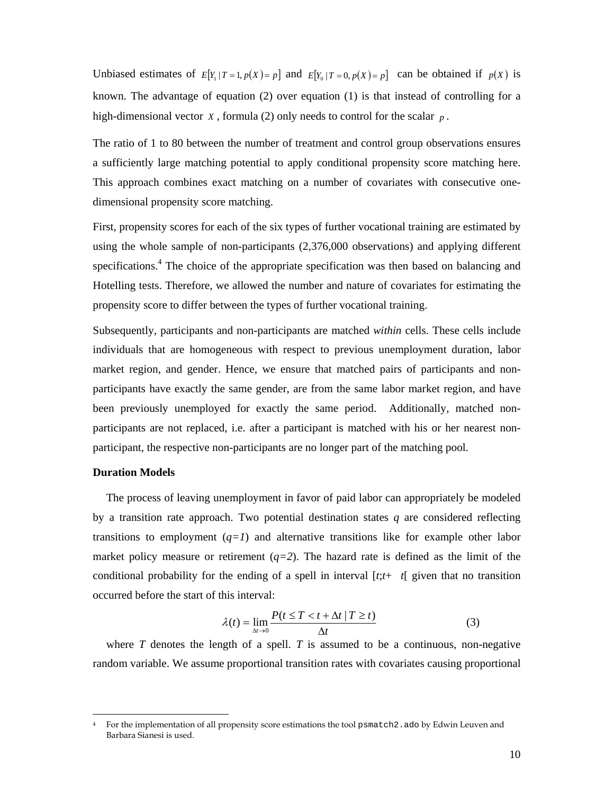Unbiased estimates of  $E[Y_1 | T = 1, p(X) = p]$  and  $E[Y_0 | T = 0, p(X) = p]$  can be obtained if  $p(X)$  is known. The advantage of equation (2) over equation (1) is that instead of controlling for a high-dimensional vector *X* , formula (2) only needs to control for the scalar *p* .

The ratio of 1 to 80 between the number of treatment and control group observations ensures a sufficiently large matching potential to apply conditional propensity score matching here. This approach combines exact matching on a number of covariates with consecutive onedimensional propensity score matching.

First, propensity scores for each of the six types of further vocational training are estimated by using the whole sample of non-participants (2,376,000 observations) and applying different specifications.<sup>4</sup> The choice of the appropriate specification was then based on balancing and Hotelling tests. Therefore, we allowed the number and nature of covariates for estimating the propensity score to differ between the types of further vocational training.

Subsequently, participants and non-participants are matched *within* cells. These cells include individuals that are homogeneous with respect to previous unemployment duration, labor market region, and gender. Hence, we ensure that matched pairs of participants and nonparticipants have exactly the same gender, are from the same labor market region, and have been previously unemployed for exactly the same period. Additionally, matched nonparticipants are not replaced, i.e. after a participant is matched with his or her nearest nonparticipant, the respective non-participants are no longer part of the matching pool.

#### **Duration Models**

 $\overline{a}$ 

The process of leaving unemployment in favor of paid labor can appropriately be modeled by a transition rate approach. Two potential destination states *q* are considered reflecting transitions to employment  $(q=1)$  and alternative transitions like for example other labor market policy measure or retirement  $(q=2)$ . The hazard rate is defined as the limit of the conditional probability for the ending of a spell in interval  $[t; t+ t]$  given that no transition occurred before the start of this interval:

$$
\lambda(t) = \lim_{\Delta t \to 0} \frac{P(t \le T < t + \Delta t | T \ge t)}{\Delta t}
$$
 (3)

where  $T$  denotes the length of a spell.  $T$  is assumed to be a continuous, non-negative random variable. We assume proportional transition rates with covariates causing proportional

<sup>4</sup> For the implementation of all propensity score estimations the tool psmatch2.ado by Edwin Leuven and Barbara Sianesi is used.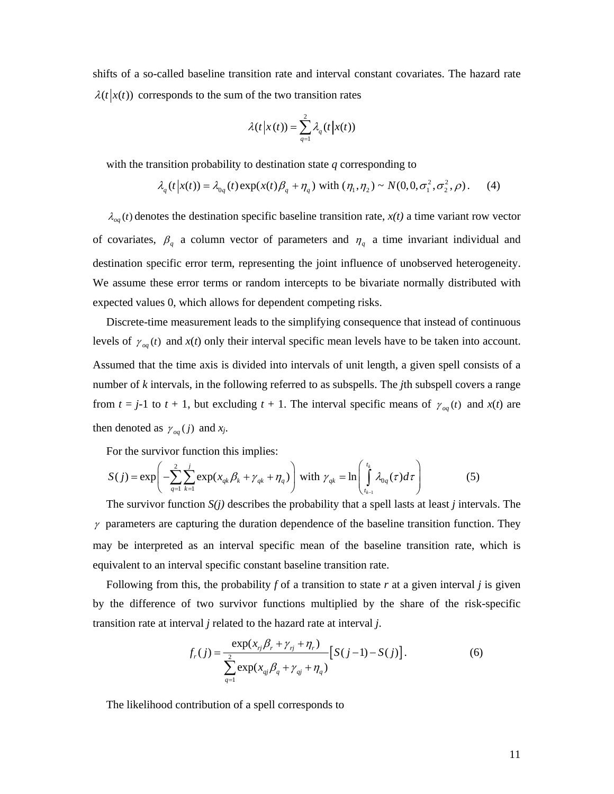shifts of a so-called baseline transition rate and interval constant covariates. The hazard rate  $\lambda(t | x(t))$  corresponds to the sum of the two transition rates

$$
\lambda(t|x(t)) = \sum_{q=1}^{2} \lambda_q(t|x(t))
$$

with the transition probability to destination state *q* corresponding to

$$
\lambda_q(t|x(t)) = \lambda_{0q}(t) \exp(x(t)\beta_q + \eta_q) \text{ with } (\eta_1, \eta_2) \sim N(0, 0, \sigma_1^2, \sigma_2^2, \rho). \tag{4}
$$

 $\lambda_{oq}(t)$  denotes the destination specific baseline transition rate,  $x(t)$  a time variant row vector of covariates,  $\beta_q$  a column vector of parameters and  $\eta_q$  a time invariant individual and destination specific error term, representing the joint influence of unobserved heterogeneity. We assume these error terms or random intercepts to be bivariate normally distributed with expected values 0, which allows for dependent competing risks.

Discrete-time measurement leads to the simplifying consequence that instead of continuous levels of  $\gamma_{oa}(t)$  and  $x(t)$  only their interval specific mean levels have to be taken into account. Assumed that the time axis is divided into intervals of unit length, a given spell consists of a number of *k* intervals, in the following referred to as subspells. The *j*th subspell covers a range from  $t = j-1$  to  $t + 1$ , but excluding  $t + 1$ . The interval specific means of  $\gamma_{og}(t)$  and  $x(t)$  are then denoted as  $\gamma_{oa}(j)$  and  $x_j$ .

For the survivor function this implies:

$$
S(j) = \exp\left(-\sum_{q=1}^{2} \sum_{k=1}^{j} \exp(x_{qk}\beta_k + \gamma_{qk} + \eta_q)\right) \text{ with } \gamma_{qk} = \ln\left(\int_{t_{k-1}}^{t_k} \lambda_{0q}(\tau)d\tau\right) \tag{5}
$$

The survivor function  $S(i)$  describes the probability that a spell lasts at least *j* intervals. The  $\gamma$  parameters are capturing the duration dependence of the baseline transition function. They may be interpreted as an interval specific mean of the baseline transition rate, which is equivalent to an interval specific constant baseline transition rate.

Following from this, the probability  $f$  of a transition to state  $r$  at a given interval  $j$  is given by the difference of two survivor functions multiplied by the share of the risk-specific transition rate at interval *j* related to the hazard rate at interval *j*.

$$
f_r(j) = \frac{\exp(x_{rj}\beta_r + \gamma_{rj} + \eta_r)}{\sum_{q=1}^{2} \exp(x_{qj}\beta_q + \gamma_{qj} + \eta_q)} [S(j-1) - S(j)].
$$
 (6)

The likelihood contribution of a spell corresponds to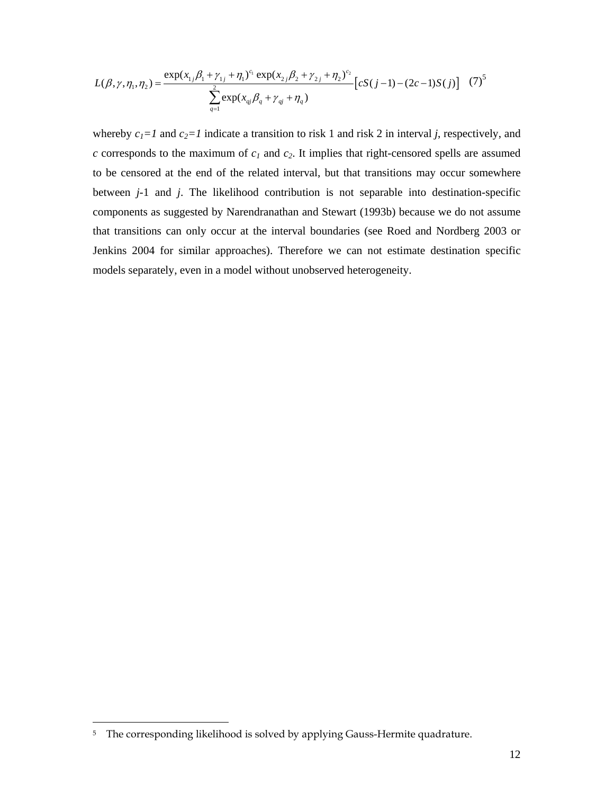$$
L(\beta, \gamma, \eta_1, \eta_2) = \frac{\exp(x_{1j}\beta_1 + \gamma_{1j} + \eta_1)^{c_1} \exp(x_{2j}\beta_2 + \gamma_{2j} + \eta_2)^{c_2}}{\sum_{q=1}^{2} \exp(x_{qj}\beta_q + \gamma_{qj} + \eta_q)} [cS(j-1) - (2c-1)S(j)]
$$
 (7)<sup>5</sup>

whereby  $c_1 = 1$  and  $c_2 = 1$  indicate a transition to risk 1 and risk 2 in interval *j*, respectively, and  $c$  corresponds to the maximum of  $c_1$  and  $c_2$ . It implies that right-censored spells are assumed to be censored at the end of the related interval, but that transitions may occur somewhere between *j*-1 and *j*. The likelihood contribution is not separable into destination-specific components as suggested by Narendranathan and Stewart (1993b) because we do not assume that transitions can only occur at the interval boundaries (see Roed and Nordberg 2003 or Jenkins 2004 for similar approaches). Therefore we can not estimate destination specific models separately, even in a model without unobserved heterogeneity.

 $\overline{a}$ 

<sup>&</sup>lt;sup>5</sup> The corresponding likelihood is solved by applying Gauss-Hermite quadrature.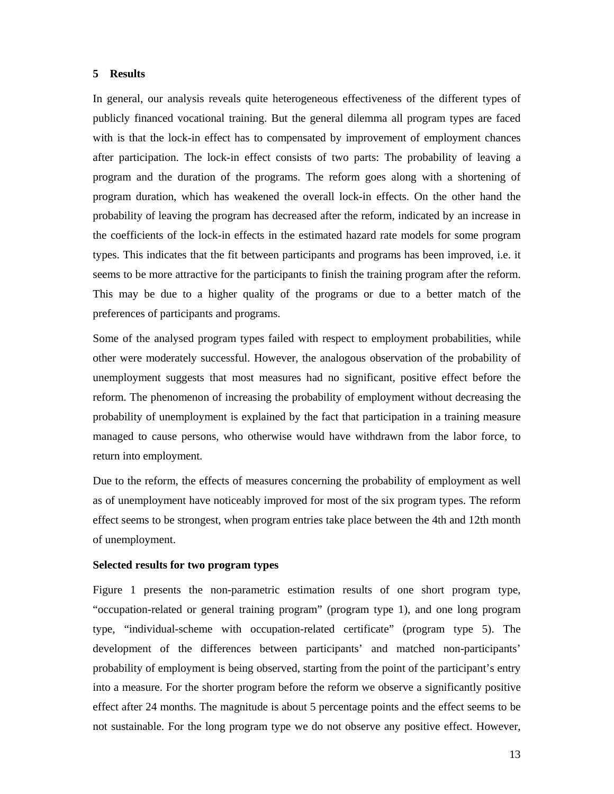### **5 Results**

In general, our analysis reveals quite heterogeneous effectiveness of the different types of publicly financed vocational training. But the general dilemma all program types are faced with is that the lock-in effect has to compensated by improvement of employment chances after participation. The lock-in effect consists of two parts: The probability of leaving a program and the duration of the programs. The reform goes along with a shortening of program duration, which has weakened the overall lock-in effects. On the other hand the probability of leaving the program has decreased after the reform, indicated by an increase in the coefficients of the lock-in effects in the estimated hazard rate models for some program types. This indicates that the fit between participants and programs has been improved, i.e. it seems to be more attractive for the participants to finish the training program after the reform. This may be due to a higher quality of the programs or due to a better match of the preferences of participants and programs.

Some of the analysed program types failed with respect to employment probabilities, while other were moderately successful. However, the analogous observation of the probability of unemployment suggests that most measures had no significant, positive effect before the reform. The phenomenon of increasing the probability of employment without decreasing the probability of unemployment is explained by the fact that participation in a training measure managed to cause persons, who otherwise would have withdrawn from the labor force, to return into employment.

Due to the reform, the effects of measures concerning the probability of employment as well as of unemployment have noticeably improved for most of the six program types. The reform effect seems to be strongest, when program entries take place between the 4th and 12th month of unemployment.

#### **Selected results for two program types**

Figure 1 presents the non-parametric estimation results of one short program type, "occupation-related or general training program" (program type 1), and one long program type, "individual-scheme with occupation-related certificate" (program type 5). The development of the differences between participants' and matched non-participants' probability of employment is being observed, starting from the point of the participant's entry into a measure. For the shorter program before the reform we observe a significantly positive effect after 24 months. The magnitude is about 5 percentage points and the effect seems to be not sustainable. For the long program type we do not observe any positive effect. However,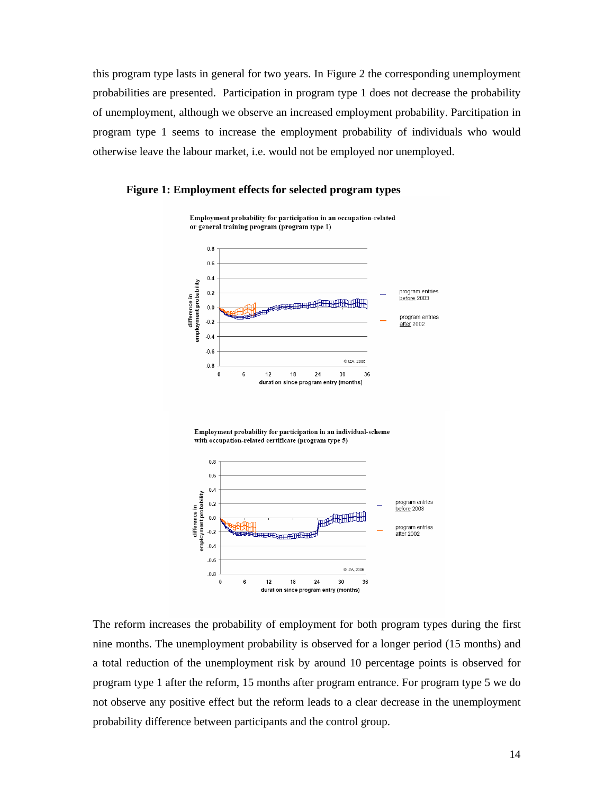this program type lasts in general for two years. In Figure 2 the corresponding unemployment probabilities are presented. Participation in program type 1 does not decrease the probability of unemployment, although we observe an increased employment probability. Parcitipation in program type 1 seems to increase the employment probability of individuals who would otherwise leave the labour market, i.e. would not be employed nor unemployed.





The reform increases the probability of employment for both program types during the first nine months. The unemployment probability is observed for a longer period (15 months) and a total reduction of the unemployment risk by around 10 percentage points is observed for program type 1 after the reform, 15 months after program entrance. For program type 5 we do not observe any positive effect but the reform leads to a clear decrease in the unemployment probability difference between participants and the control group.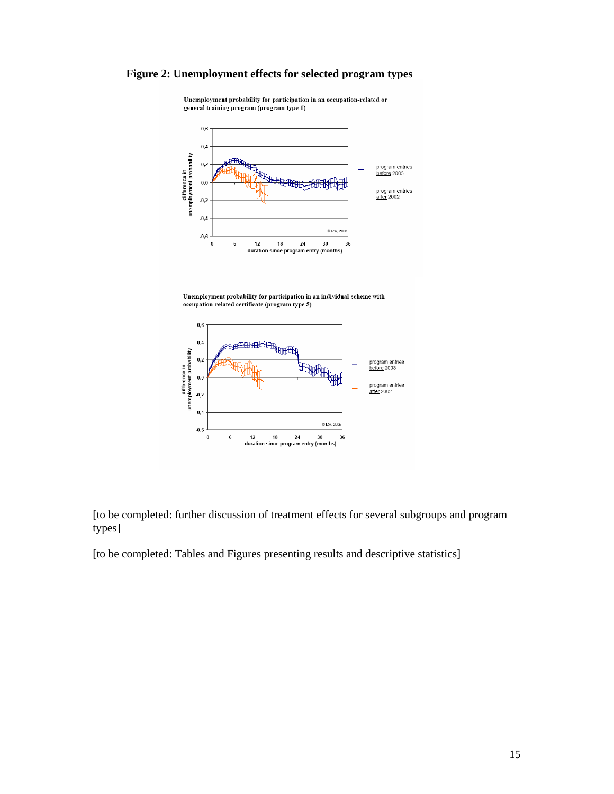# **Figure 2: Unemployment effects for selected program types**



Unemployment probability for participation in an occupation-related or general training program (program type 1)

Unemployment probability for participation in an individual-scheme with occupation-related certificate (program type 5)



[to be completed: further discussion of treatment effects for several subgroups and program types]

[to be completed: Tables and Figures presenting results and descriptive statistics]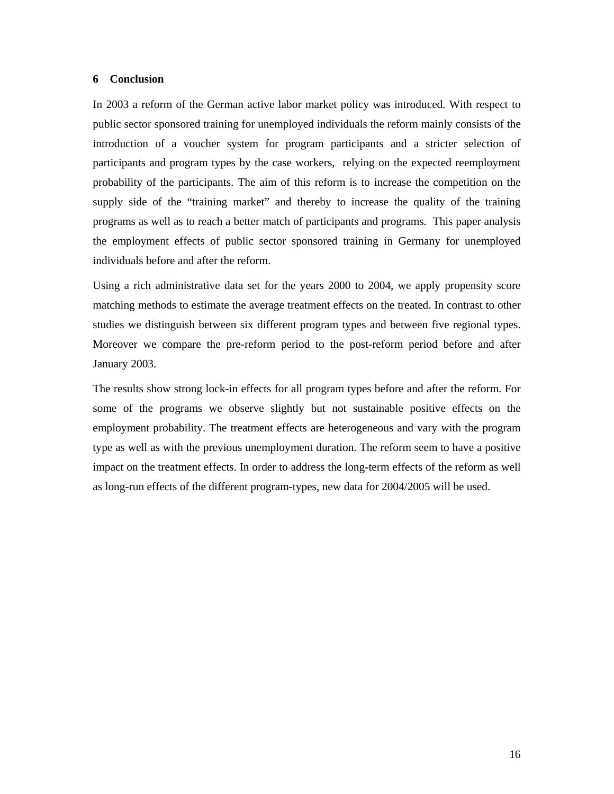#### **6 Conclusion**

In 2003 a reform of the German active labor market policy was introduced. With respect to public sector sponsored training for unemployed individuals the reform mainly consists of the introduction of a voucher system for program participants and a stricter selection of participants and program types by the case workers, relying on the expected reemployment probability of the participants. The aim of this reform is to increase the competition on the supply side of the "training market" and thereby to increase the quality of the training programs as well as to reach a better match of participants and programs. This paper analysis the employment effects of public sector sponsored training in Germany for unemployed individuals before and after the reform.

Using a rich administrative data set for the years 2000 to 2004, we apply propensity score matching methods to estimate the average treatment effects on the treated. In contrast to other studies we distinguish between six different program types and between five regional types. Moreover we compare the pre-reform period to the post-reform period before and after January 2003.

The results show strong lock-in effects for all program types before and after the reform. For some of the programs we observe slightly but not sustainable positive effects on the employment probability. The treatment effects are heterogeneous and vary with the program type as well as with the previous unemployment duration. The reform seem to have a positive impact on the treatment effects. In order to address the long-term effects of the reform as well as long-run effects of the different program-types, new data for 2004/2005 will be used.